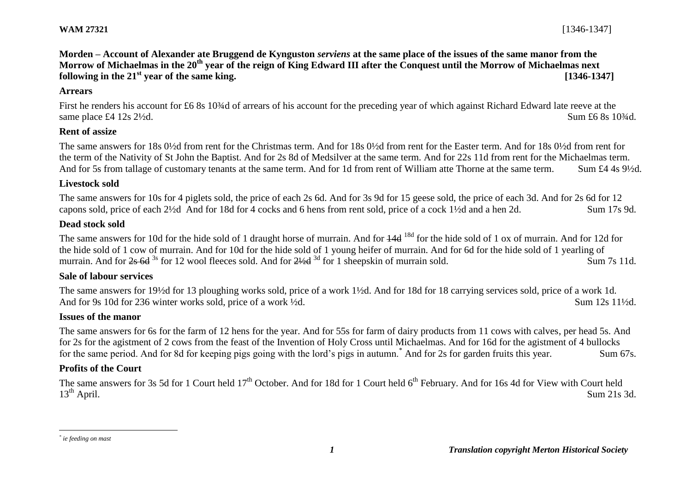# **Morden – Account of Alexander ate Bruggend de Kynguston** *serviens* **at the same place of the issues of the same manor from the Morrow of Michaelmas in the 20th year of the reign of King Edward III after the Conquest until the Morrow of Michaelmas next following in the 21st year of the same king. [1346-1347]**

#### **Arrears**

First he renders his account for £6 8s 10<sup>3</sup>/<sub>4</sub>d of arrears of his account for the preceding year of which against Richard Edward late reeve at the same place £4 12s  $2\frac{1}{2}$ d. Sum £6 8s 10<sup>3</sup>/d.

#### **Rent of assize**

The same answers for 18s 0½d from rent for the Christmas term. And for 18s 0½d from rent for the Easter term. And for 18s 0½d from rent for the term of the Nativity of St John the Baptist. And for 2s 8d of Medsilver at the same term. And for 22s 11d from rent for the Michaelmas term. And for 5s from tallage of customary tenants at the same term. And for 1d from rent of William atte Thorne at the same term. Sum £4 4s 9<sup>1</sup>/2d.

#### **Livestock sold**

The same answers for 10s for 4 piglets sold, the price of each 2s 6d. And for 3s 9d for 15 geese sold, the price of each 3d. And for 2s 6d for 12 capons sold, price of each 2½d And for 18d for 4 cocks and 6 hens from rent sold, price of a cock 1½d and a hen 2d. Sum 17s 9d.

#### **Dead stock sold**

The same answers for 10d for the hide sold of 1 draught horse of murrain. And for  $\frac{14d}{18d}$  for the hide sold of 1 ox of murrain. And for 12d for the hide sold of 1 cow of murrain. And for 10d for the hide sold of 1 young heifer of murrain. And for 6d for the hide sold of 1 yearling of murrain. And for  $2s$  6d <sup>3s</sup> for 12 wool fleeces sold. And for  $2\frac{1}{2}$ d <sup>3d</sup> for 1 sheepskin of murrain sold. Sum 7s 11d.

#### **Sale of labour services**

The same answers for 19½d for 13 ploughing works sold, price of a work 1½d. And for 18d for 18 carrying services sold, price of a work 1d. And for 9s 10d for 236 winter works sold, price of a work  $\frac{1}{2}$ d. Sum 12s 11<sup>1</sup>/<sub>2d</sub>.

#### **Issues of the manor**

The same answers for 6s for the farm of 12 hens for the year. And for 55s for farm of dairy products from 11 cows with calves, per head 5s. And for 2s for the agistment of 2 cows from the feast of the Invention of Holy Cross until Michaelmas. And for 16d for the agistment of 4 bullocks for the same period. And for 8d for keeping pigs going with the lord's pigs in autumn.\* And for 2s for garden fruits this year. Sum 67s.

#### **Profits of the Court**

The same answers for 3s 5d for 1 Court held 17<sup>th</sup> October. And for 18d for 1 Court held 6<sup>th</sup> February. And for 16s 4d for View with Court held 13<sup>th</sup> April. Sum 21s 3d.

 $\overline{a}$ 

*<sup>\*</sup> ie feeding on mast*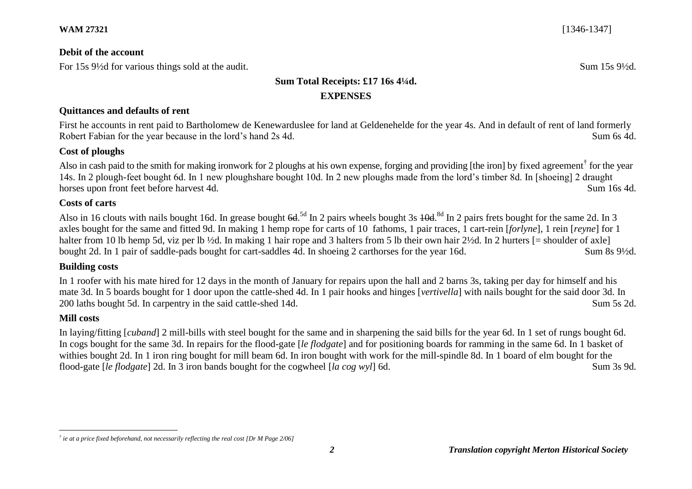### **Debit of the account**

For 15s 9<sup>1/2</sup>d for various things sold at the audit. Sum 15s 9<sup>1/2</sup>d.

# **Sum Total Receipts: £17 16s 4¼d. EXPENSES**

### **Quittances and defaults of rent**

First he accounts in rent paid to Bartholomew de Kenewarduslee for land at Geldenehelde for the year 4s. And in default of rent of land formerly Robert Fabian for the year because in the lord's hand 2s 4d. Sum 6s 4d. Sum 6s 4d.

### **Cost of ploughs**

Also in cash paid to the smith for making ironwork for 2 ploughs at his own expense, forging and providing [the iron] by fixed agreement<sup>†</sup> for the year 14s. In 2 plough-feet bought 6d. In 1 new ploughshare bought 10d. In 2 new ploughs made from the lord's timber 8d. In [shoeing] 2 draught horses upon front feet before harvest 4d. Sum 16s 4d.

### **Costs of carts**

Also in 16 clouts with nails bought 16d. In grease bought 6d.<sup>5d</sup> In 2 pairs wheels bought 3s 40d.<sup>8d</sup> In 2 pairs frets bought for the same 2d. In 3 axles bought for the same and fitted 9d. In making 1 hemp rope for carts of 10 fathoms, 1 pair traces*,* 1 cart-rein [*forlyne*], 1 rein [*reyne*] for 1 halter from 10 lb hemp 5d, viz per lb ½d. In making 1 hair rope and 3 halters from 5 lb their own hair 2½d. In 2 hurters [= shoulder of axle] bought 2d. In 1 pair of saddle-pads bought for cart-saddles 4d. In shoeing 2 carthorses for the year 16d. Sum 8s 9½d.

# **Building costs**

In 1 roofer with his mate hired for 12 days in the month of January for repairs upon the hall and 2 barns 3s, taking per day for himself and his mate 3d. In 5 boards bought for 1 door upon the cattle-shed 4d. In 1 pair hooks and hinges [*vertivella*] with nails bought for the said door 3d. In 200 laths bought 5d. In carpentry in the said cattle-shed 14d. Sum 5s 2d.

# **Mill costs**

 $\overline{a}$ 

In laying/fitting [*cuband*] 2 mill-bills with steel bought for the same and in sharpening the said bills for the year 6d. In 1 set of rungs bought 6d. In cogs bought for the same 3d. In repairs for the flood-gate [*le flodgate*] and for positioning boards for ramming in the same 6d. In 1 basket of withies bought 2d. In 1 iron ring bought for mill beam 6d. In iron bought with work for the mill-spindle 8d. In 1 board of elm bought for the flood-gate [*le flodgate*] 2d. In 3 iron bands bought for the cogwheel [*la cog wyl*] 6d. Sum 3s 9d.

*<sup>†</sup> ie at a price fixed beforehand, not necessarily reflecting the real cost [Dr M Page 2/06]*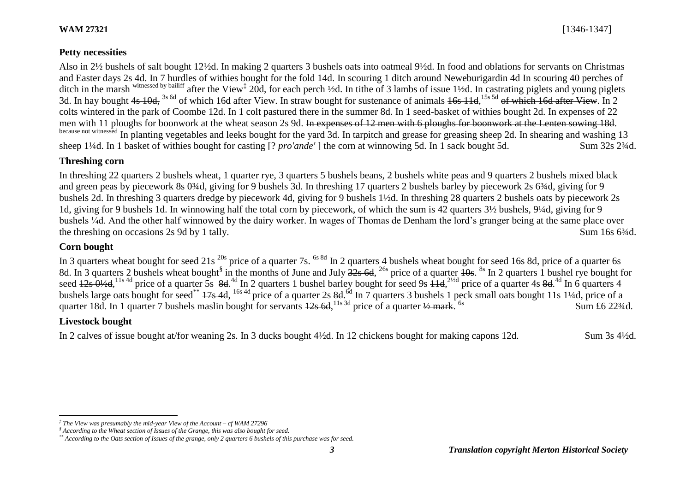### **Petty necessities**

Also in 2½ bushels of salt bought 12½d. In making 2 quarters 3 bushels oats into oatmeal 9½d. In food and oblations for servants on Christmas and Easter days 2s 4d. In 7 hurdles of withies bought for the fold 14d. In scouring 1 ditch around Neweburigardin 4d In scouring 40 perches of ditch in the marsh <sup>witnessed by bailiff</sup> after the View<sup>‡</sup> 20d, for each perch ½d. In tithe of 3 lambs of issue 1½d. In castrating piglets and young piglets 3d. In hay bought 4s 10d, <sup>3s 6d</sup> of which 16d after View. In straw bought for sustenance of animals 16s 11d, <sup>15s 5d</sup> of which 16d after View. In 2 colts wintered in the park of Coombe 12d. In 1 colt pastured there in the summer 8d. In 1 seed-basket of withies bought 2d. In expenses of 22 men with 11 ploughs for boonwork at the wheat season 2s 9d. In expenses of 12 men with 6 ploughs for boonwork at the Lenten sowing 18d. because not witnessed In planting vegetables and leeks bought for the yard 3d. In tarpitch and grease for greasing sheep 2d. In shearing and washing 13 sheep 1¼d. In 1 basket of withies bought for casting [? *pro'ande'* ] the corn at winnowing 5d. In 1 sack bought 5d. Sum 32s 2¾d.

### **Threshing corn**

In threshing 22 quarters 2 bushels wheat, 1 quarter rye, 3 quarters 5 bushels beans, 2 bushels white peas and 9 quarters 2 bushels mixed black and green peas by piecework 8s 0<sup>3</sup>/4d, giving for 9 bushels 3d. In threshing 17 quarters 2 bushels barley by piecework 2s 6<sup>3</sup>/4d, giving for 9 bushels 2d. In threshing 3 quarters dredge by piecework 4d, giving for 9 bushels 1½d. In threshing 28 quarters 2 bushels oats by piecework 2s 1d, giving for 9 bushels 1d. In winnowing half the total corn by piecework, of which the sum is 42 quarters 3½ bushels, 9¼d, giving for 9 bushels ¼d. And the other half winnowed by the dairy worker. In wages of Thomas de Denham the lord's granger being at the same place over the threshing on occasions 2s 9d by 1 tally. Sum 16s 6<sup>3</sup>/4d.

### **Corn bought**

In 3 quarters wheat bought for seed  $21s^{20s}$  price of a quarter  $7s$ . <sup>6s 8d</sup> In 2 quarters 4 bushels wheat bought for seed 16s 8d, price of a quarter 6s 8d. In 3 quarters 2 bushels wheat bought<sup>§</sup> in the months of June and July  $\frac{32}{8}$  6d, <sup>26s</sup> price of a quarter  $\frac{10}{8}$ . <sup>8s</sup> In 2 quarters 1 bushel rye bought for seed  $12s \frac{0}{2}d$ ,  $^{11s \frac{4d}{3}}$  price of a quarter 5s  $8d$ .  $^{4d}$  In 2 quarters 1 bushel barley bought for seed 9s  $14d$ ,  $^{2/2d}$  price of a quarter 4s  $8d$ .  $^{4d}$  In 6 quarters 4 bushels large oats bought for seed\*\* 17s 4d, <sup>16s 4d</sup> price of a quarter 2s 8d.<sup>6d</sup> In 7 quarters 3 bushels 1 peck small oats bought 11s 1¼d, price of a quarter 18d. In 1 quarter 7 bushels maslin bought for servants  $12s$  6d, <sup>11s 3d</sup> price of a quarter  $\frac{1}{2}$  mark. Sum £6 223/4d.

### **Livestock bought**

 $\overline{a}$ 

In 2 calves of issue bought at/for weaning 2s. In 3 ducks bought 4½d. In 12 chickens bought for making capons 12d. Sum 3s 4½d.

*<sup>‡</sup> The View was presumably the mid-year View of the Account – cf WAM 27296*

*<sup>§</sup> According to the Wheat section of Issues of the Grange, this was also bought for seed.*

*<sup>\*\*</sup> According to the Oats section of Issues of the grange, only 2 quarters 6 bushels of this purchase was for seed.*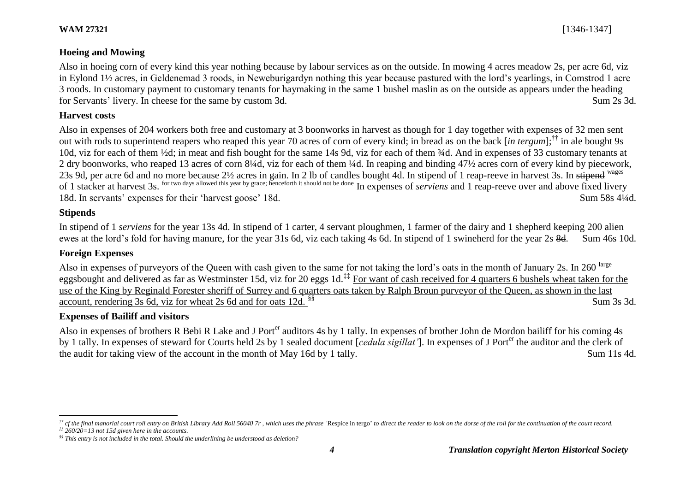Also in hoeing corn of every kind this year nothing because by labour services as on the outside. In mowing 4 acres meadow 2s, per acre 6d, viz in Eylond 1½ acres, in Geldenemad 3 roods, in Neweburigardyn nothing this year because pastured with the lord's yearlings, in Comstrod 1 acre 3 roods. In customary payment to customary tenants for haymaking in the same 1 bushel maslin as on the outside as appears under the heading for Servants' livery. In cheese for the same by custom 3d. Sum 2s 3d.

#### **Harvest costs**

Also in expenses of 204 workers both free and customary at 3 boonworks in harvest as though for 1 day together with expenses of 32 men sent out with rods to superintend reapers who reaped this year 70 acres of corn of every kind; in bread as on the back [*in tergum*]; †† in ale bought 9s 10d, viz for each of them ½d; in meat and fish bought for the same 14s 9d, viz for each of them ¾d. And in expenses of 33 customary tenants at 2 dry boonworks, who reaped 13 acres of corn 8¼d, viz for each of them ¼d. In reaping and binding 47½ acres corn of every kind by piecework, 23s 9d, per acre 6d and no more because 2½ acres in gain. In 2 lb of candles bought 4d. In stipend of 1 reap-reeve in harvest 3s. In stipend <sup>wages</sup> of 1 stacker at harvest 3s. for two days allowed this year by grace; henceforth it should not be done In expenses of *serviens* and 1 reap-reeve over and above fixed livery 18d. In servants' expenses for their 'harvest goose' 18d. Sum 58s 4¼d.

#### **Stipends**

In stipend of 1 *serviens* for the year 13s 4d. In stipend of 1 carter, 4 servant ploughmen, 1 farmer of the dairy and 1 shepherd keeping 200 alien ewes at the lord's fold for having manure, for the year 31s 6d, viz each taking 4s 6d. In stipend of 1 swineherd for the year 2s 8d. Sum 46s 10d.

# **Foreign Expenses**

Also in expenses of purveyors of the Queen with cash given to the same for not taking the lord's oats in the month of January 2s. In 260 large eggsbought and delivered as far as Westminster 15d, viz for 20 eggs 1d.<sup>‡‡</sup> For want of cash received for 4 quarters 6 bushels wheat taken for the use of the King by Reginald Forester sheriff of Surrey and 6 quarters oats taken by Ralph Broun purveyor of the Queen, as shown in the last account, rendering 3s 6d, viz for wheat 2s 6d and for oats 12d.  $^{88}$  Sum 3s 3d.

### **Expenses of Bailiff and visitors**

Also in expenses of brothers R Bebi R Lake and J Port<sup>er</sup> auditors 4s by 1 tally. In expenses of brother John de Mordon bailiff for his coming 4s by 1 tally. In expenses of steward for Courts held 2s by 1 sealed document [*cedula sigillat'*]. In expenses of J Porter the auditor and the clerk of the audit for taking view of the account in the month of May 16d by 1 tally. Sum 11s 4d.

 $\overline{a}$  $\#$  cf the final manorial court roll entry on British Library Add Roll 56040 7r, which uses the phrase Respice in tergo' to direct the reader to look on the dorse of the roll for the continuation of the court record.

*<sup>‡‡</sup> 260/20=13 not 15d given here in the accounts.*

*<sup>§§</sup> This entry is not included in the total. Should the underlining be understood as deletion?*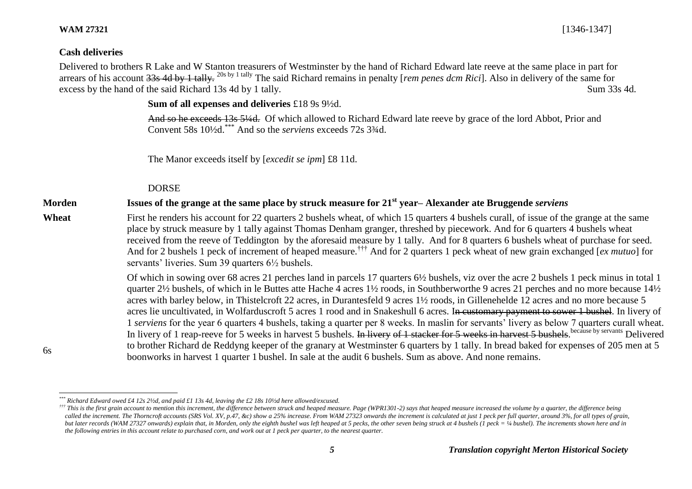6s

**WAM 27321** [1346-1347]

#### **Cash deliveries**

Delivered to brothers R Lake and W Stanton treasurers of Westminster by the hand of Richard Edward late reeve at the same place in part for arrears of his account 33s 4d by 1 tally. 20s by 1 tally The said Richard remains in penalty [*rem penes dcm Rici*]. Also in delivery of the same for excess by the hand of the said Richard 13s 4d by 1 tally.

**Sum of all expenses and deliveries** £18 9s 9½d.

And so he exceeds 13s 5¼d. Of which allowed to Richard Edward late reeve by grace of the lord Abbot, Prior and Convent 58s 10½d.\*\*\* And so the *serviens* exceeds 72s 3¾d.

The Manor exceeds itself by [*excedit se ipm*] £8 11d.

# DORSE

# **Morden Issues of the grange at the same place by struck measure for 21st year– Alexander ate Bruggende** *serviens*

**Wheat** First he renders his account for 22 quarters 2 bushels wheat, of which 15 quarters 4 bushels curall, of issue of the grange at the same place by struck measure by 1 tally against Thomas Denham granger, threshed by piecework. And for 6 quarters 4 bushels wheat received from the reeve of Teddington by the aforesaid measure by 1 tally. And for 8 quarters 6 bushels wheat of purchase for seed. And for 2 bushels 1 peck of increment of heaped measure.††† And for 2 quarters 1 peck wheat of new grain exchanged [*ex mutuo*] for servants' liveries. Sum 39 quarters 6½ bushels.

> Of which in sowing over 68 acres 21 perches land in parcels 17 quarters 6½ bushels, viz over the acre 2 bushels 1 peck minus in total 1 quarter 2½ bushels, of which in le Buttes atte Hache 4 acres 1½ roods, in Southberworthe 9 acres 21 perches and no more because 14½ acres with barley below, in Thistelcroft 22 acres, in Durantesfeld 9 acres 1½ roods, in Gillenehelde 12 acres and no more because 5 acres lie uncultivated, in Wolfarduscroft 5 acres 1 rood and in Snakeshull 6 acres. I<del>n customary payment to sower 1 bushel</del>. In livery of 1 *serviens* for the year 6 quarters 4 bushels, taking a quarter per 8 weeks. In maslin for servants' livery as below 7 quarters curall wheat. In livery of 1 reap-reeve for 5 weeks in harvest 5 bushels. In livery of 1 stacker for 5 weeks in harvest 5 bushels. because by servants Delivered to brother Richard de Reddyng keeper of the granary at Westminster 6 quarters by 1 tally. In bread baked for expenses of 205 men at 5 boonworks in harvest 1 quarter 1 bushel. In sale at the audit 6 bushels. Sum as above. And none remains.

l *\*\*\* Richard Edward owed £4 12s 2½d, and paid £1 13s 4d, leaving the £2 18s 10½d here allowed/excused.*

<sup>&</sup>lt;sup>†††</sup> This is the first grain account to mention this increment, the difference between struck and heaped measure. Page (WPR1301-2) says that heaped measure increased the volume by a quarter, the difference being called the increment. The Thorncroft accounts (SRS Vol. XV, p.47, &c) show a 25% increase. From WAM 27323 onwards the increment is calculated at just 1 peck per full quarter, around 3%, for all types of grain, *but later records (WAM 27327 onwards) explain that, in Morden, only the eighth bushel was left heaped at 5 pecks, the other seven being struck at 4 bushels (1 peck = ¼ bushel). The increments shown here and in the following entries in this account relate to purchased corn, and work out at 1 peck per quarter, to the nearest quarter.*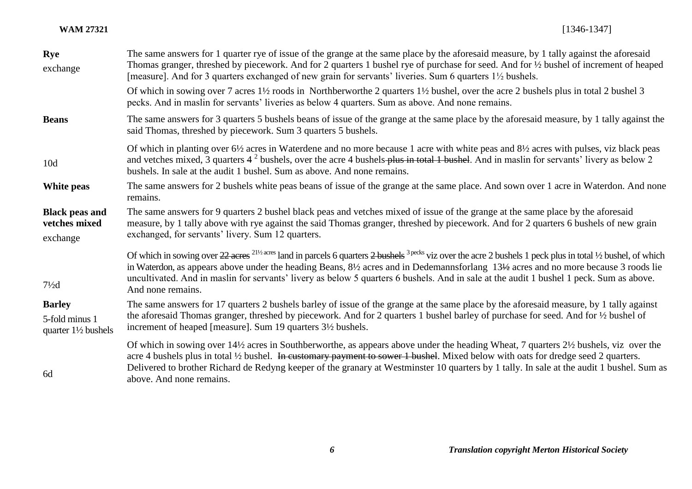| <b>Rye</b>                                         | The same answers for 1 quarter rye of issue of the grange at the same place by the aforesaid measure, by 1 tally against the aforesaid                                                                                                                                                                                                                                                                                                                                                                                                |  |
|----------------------------------------------------|---------------------------------------------------------------------------------------------------------------------------------------------------------------------------------------------------------------------------------------------------------------------------------------------------------------------------------------------------------------------------------------------------------------------------------------------------------------------------------------------------------------------------------------|--|
| exchange                                           | Thomas granger, threshed by piecework. And for 2 quarters 1 bushel rye of purchase for seed. And for 1/2 bushel of increment of heaped<br>[measure]. And for 3 quarters exchanged of new grain for servants' liveries. Sum 6 quarters 1 <sup>1</sup> / <sub>2</sub> bushels.                                                                                                                                                                                                                                                          |  |
|                                                    | Of which in sowing over 7 acres 1 <sup>1</sup> / <sub>2</sub> roods in Northberworthe 2 quarters 1 <sup>1</sup> / <sub>2</sub> bushel, over the acre 2 bushels plus in total 2 bushel 3<br>pecks. And in maslin for servants' liveries as below 4 quarters. Sum as above. And none remains.                                                                                                                                                                                                                                           |  |
| <b>Beans</b>                                       | The same answers for 3 quarters 5 bushels beans of issue of the grange at the same place by the aforesaid measure, by 1 tally against the<br>said Thomas, threshed by piecework. Sum 3 quarters 5 bushels.                                                                                                                                                                                                                                                                                                                            |  |
| 10d                                                | Of which in planting over 6½ acres in Waterdene and no more because 1 acre with white peas and 8½ acres with pulses, viz black peas<br>and vetches mixed, 3 quarters $4^2$ bushels, over the acre 4 bushels-plus in total 1 bushel. And in maslin for servants' livery as below 2<br>bushels. In sale at the audit 1 bushel. Sum as above. And none remains.                                                                                                                                                                          |  |
| White peas                                         | The same answers for 2 bushels white peas beans of issue of the grange at the same place. And sown over 1 acre in Waterdon. And none<br>remains.                                                                                                                                                                                                                                                                                                                                                                                      |  |
| <b>Black peas and</b><br>vetches mixed<br>exchange | The same answers for 9 quarters 2 bushel black peas and vetches mixed of issue of the grange at the same place by the aforesaid<br>measure, by 1 tally above with rye against the said Thomas granger, threshed by piecework. And for 2 quarters 6 bushels of new grain<br>exchanged, for servants' livery. Sum 12 quarters.                                                                                                                                                                                                          |  |
| $7\frac{1}{2}$ d                                   | Of which in sowing over $22$ acres <sup>211/2</sup> acres land in parcels 6 quarters 2 bushels <sup>3 pecks</sup> viz over the acre 2 bushels 1 peck plus in total 1/2 bushel, of which<br>in Waterdon, as appears above under the heading Beans, 8 <sup>1</sup> / <sub>2</sub> acres and in Dedemannsforlang 13 <sup>1/2</sup> acres and no more because 3 roods lie<br>uncultivated. And in maslin for servants' livery as below 5 quarters 6 bushels. And in sale at the audit 1 bushel 1 peck. Sum as above.<br>And none remains. |  |
| <b>Barley</b>                                      | The same answers for 17 quarters 2 bushels barley of issue of the grange at the same place by the aforesaid measure, by 1 tally against                                                                                                                                                                                                                                                                                                                                                                                               |  |
| 5-fold minus 1<br>quarter $1\frac{1}{2}$ bushels   | the aforesaid Thomas granger, threshed by piecework. And for 2 quarters 1 bushel barley of purchase for seed. And for $\frac{1}{2}$ bushel of<br>increment of heaped [measure]. Sum 19 quarters $3\frac{1}{2}$ bushels.                                                                                                                                                                                                                                                                                                               |  |
| 6d                                                 | Of which in sowing over 14½ acres in Southberworthe, as appears above under the heading Wheat, 7 quarters 2½ bushels, viz over the<br>acre 4 bushels plus in total 1/2 bushel. In customary payment to sower 1 bushel. Mixed below with oats for dredge seed 2 quarters.<br>Delivered to brother Richard de Redyng keeper of the granary at Westminster 10 quarters by 1 tally. In sale at the audit 1 bushel. Sum as<br>above. And none remains.                                                                                     |  |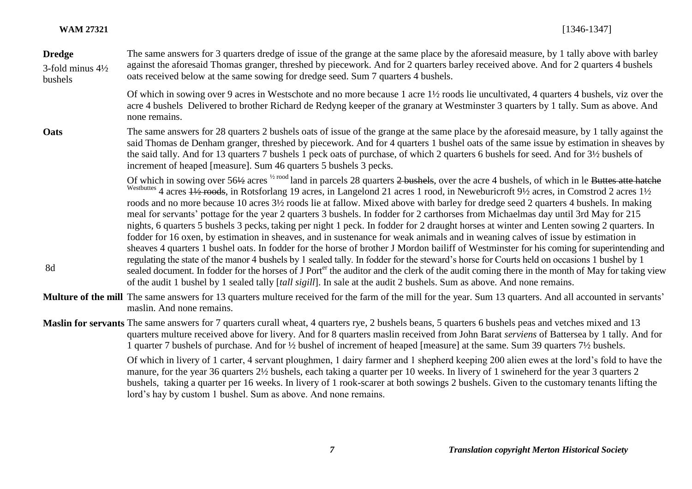| <b>WAM 27321</b> | $[1346 - 1347]$ |
|------------------|-----------------|
|------------------|-----------------|

| <b>Dredge</b><br>3-fold minus $4\frac{1}{2}$<br>bushels | The same answers for 3 quarters dredge of issue of the grange at the same place by the aforesaid measure, by 1 tally above with barley<br>against the aforesaid Thomas granger, threshed by piecework. And for 2 quarters barley received above. And for 2 quarters 4 bushels<br>oats received below at the same sowing for dredge seed. Sum 7 quarters 4 bushels.                                                                                                                                                                                                                                                                                                                                                                                                                                                                                                                                                                                                                                                                                                                                                                                                                                                                                                                                                                                                                                                                                                                                      |
|---------------------------------------------------------|---------------------------------------------------------------------------------------------------------------------------------------------------------------------------------------------------------------------------------------------------------------------------------------------------------------------------------------------------------------------------------------------------------------------------------------------------------------------------------------------------------------------------------------------------------------------------------------------------------------------------------------------------------------------------------------------------------------------------------------------------------------------------------------------------------------------------------------------------------------------------------------------------------------------------------------------------------------------------------------------------------------------------------------------------------------------------------------------------------------------------------------------------------------------------------------------------------------------------------------------------------------------------------------------------------------------------------------------------------------------------------------------------------------------------------------------------------------------------------------------------------|
|                                                         | Of which in sowing over 9 acres in Westschote and no more because 1 acre 1½ roods lie uncultivated, 4 quarters 4 bushels, viz over the<br>acre 4 bushels Delivered to brother Richard de Redyng keeper of the granary at Westminster 3 quarters by 1 tally. Sum as above. And<br>none remains.                                                                                                                                                                                                                                                                                                                                                                                                                                                                                                                                                                                                                                                                                                                                                                                                                                                                                                                                                                                                                                                                                                                                                                                                          |
| Oats                                                    | The same answers for 28 quarters 2 bushels oats of issue of the grange at the same place by the aforesaid measure, by 1 tally against the<br>said Thomas de Denham granger, threshed by piecework. And for 4 quarters 1 bushel oats of the same issue by estimation in sheaves by<br>the said tally. And for 13 quarters 7 bushels 1 peck oats of purchase, of which 2 quarters 6 bushels for seed. And for 3½ bushels of<br>increment of heaped [measure]. Sum 46 quarters 5 bushels 3 pecks.                                                                                                                                                                                                                                                                                                                                                                                                                                                                                                                                                                                                                                                                                                                                                                                                                                                                                                                                                                                                          |
| 8d                                                      | Of which in sowing over 56½ acres <sup>1/2 rood</sup> land in parcels 28 quarters 2 bushels, over the acre 4 bushels, of which in le Buttes atte hatche<br><sup>Westbuttes</sup> 4 acres + <sup>1/2</sup> roods, in Rotsforlang 19 acres, in Langelond 21 acres 1 rood, in Neweburicroft 9 <sup>1</sup> /2 acres, in Comstrod 2 acres 1 <sup>1</sup> /2<br>roods and no more because 10 acres 3½ roods lie at fallow. Mixed above with barley for dredge seed 2 quarters 4 bushels. In making<br>meal for servants' pottage for the year 2 quarters 3 bushels. In fodder for 2 carthorses from Michaelmas day until 3rd May for 215<br>nights, 6 quarters 5 bushels 3 pecks, taking per night 1 peck. In fodder for 2 draught horses at winter and Lenten sowing 2 quarters. In<br>fodder for 16 oxen, by estimation in sheaves, and in sustenance for weak animals and in weaning calves of issue by estimation in<br>sheaves 4 quarters 1 bushel oats. In fodder for the horse of brother J Mordon bailiff of Westminster for his coming for superintending and<br>regulating the state of the manor 4 bushels by 1 sealed tally. In fodder for the steward's horse for Courts held on occasions 1 bushel by 1<br>sealed document. In fodder for the horses of J Port <sup>er</sup> the auditor and the clerk of the audit coming there in the month of May for taking view<br>of the audit 1 bushel by 1 sealed tally [tall sigill]. In sale at the audit 2 bushels. Sum as above. And none remains. |
|                                                         | Multure of the mill The same answers for 13 quarters multure received for the farm of the mill for the year. Sum 13 quarters. And all accounted in servants'<br>maslin. And none remains.                                                                                                                                                                                                                                                                                                                                                                                                                                                                                                                                                                                                                                                                                                                                                                                                                                                                                                                                                                                                                                                                                                                                                                                                                                                                                                               |
|                                                         | Maslin for servants The same answers for 7 quarters curall wheat, 4 quarters rye, 2 bushels beans, 5 quarters 6 bushels peas and vetches mixed and 13<br>quarters multure received above for livery. And for 8 quarters maslin received from John Barat serviens of Battersea by 1 tally. And for<br>1 quarter 7 bushels of purchase. And for 1/2 bushel of increment of heaped [measure] at the same. Sum 39 quarters 71/2 bushels.                                                                                                                                                                                                                                                                                                                                                                                                                                                                                                                                                                                                                                                                                                                                                                                                                                                                                                                                                                                                                                                                    |
|                                                         | Of which in livery of 1 certer 4 servent pleughman, 1 dairy former and 1 shopbard keeping 200 elian ewes at the lord's fold to have the                                                                                                                                                                                                                                                                                                                                                                                                                                                                                                                                                                                                                                                                                                                                                                                                                                                                                                                                                                                                                                                                                                                                                                                                                                                                                                                                                                 |

Of which in livery of 1 carter, 4 servant ploughmen, 1 dairy farmer and 1 shepherd keeping 200 alien ewes at the lord's fold to have the manure, for the year 36 quarters 2½ bushels, each taking a quarter per 10 weeks. In livery of 1 swineherd for the year 3 quarters 2 bushels, taking a quarter per 16 weeks. In livery of 1 rook-scarer at both sowings 2 bushels. Given to the customary tenants lifting the lord's hay by custom 1 bushel. Sum as above. And none remains.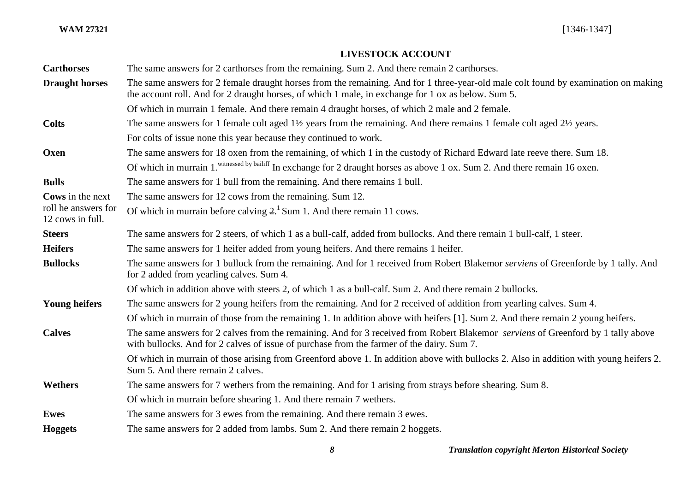# **LIVESTOCK ACCOUNT**

| <b>Carthorses</b>                       | The same answers for 2 carthorses from the remaining. Sum 2. And there remain 2 carthorses.                                                                                                                                              |
|-----------------------------------------|------------------------------------------------------------------------------------------------------------------------------------------------------------------------------------------------------------------------------------------|
| <b>Draught horses</b>                   | The same answers for 2 female draught horses from the remaining. And for 1 three-year-old male colt found by examination on making<br>the account roll. And for 2 draught horses, of which 1 male, in exchange for 1 ox as below. Sum 5. |
|                                         | Of which in murrain 1 female. And there remain 4 draught horses, of which 2 male and 2 female.                                                                                                                                           |
| <b>Colts</b>                            | The same answers for 1 female colt aged $1\frac{1}{2}$ years from the remaining. And there remains 1 female colt aged $2\frac{1}{2}$ years.                                                                                              |
|                                         | For colts of issue none this year because they continued to work.                                                                                                                                                                        |
| Oxen                                    | The same answers for 18 oxen from the remaining, of which 1 in the custody of Richard Edward late reeve there. Sum 18.                                                                                                                   |
|                                         | Of which in murrain 1. <sup>witnessed by bailiff</sup> In exchange for 2 draught horses as above 1 ox. Sum 2. And there remain 16 oxen.                                                                                                  |
| <b>Bulls</b>                            | The same answers for 1 bull from the remaining. And there remains 1 bull.                                                                                                                                                                |
| Cows in the next                        | The same answers for 12 cows from the remaining. Sum 12.                                                                                                                                                                                 |
| roll he answers for<br>12 cows in full. | Of which in murrain before calving $21$ Sum 1. And there remain 11 cows.                                                                                                                                                                 |
| <b>Steers</b>                           | The same answers for 2 steers, of which 1 as a bull-calf, added from bullocks. And there remain 1 bull-calf, 1 steer.                                                                                                                    |
| <b>Heifers</b>                          | The same answers for 1 heifer added from young heifers. And there remains 1 heifer.                                                                                                                                                      |
| <b>Bullocks</b>                         | The same answers for 1 bullock from the remaining. And for 1 received from Robert Blakemor serviens of Greenforde by 1 tally. And<br>for 2 added from yearling calves. Sum 4.                                                            |
|                                         | Of which in addition above with steers 2, of which 1 as a bull-calf. Sum 2. And there remain 2 bullocks.                                                                                                                                 |
| <b>Young heifers</b>                    | The same answers for 2 young heifers from the remaining. And for 2 received of addition from yearling calves. Sum 4.                                                                                                                     |
|                                         | Of which in murrain of those from the remaining 1. In addition above with heifers [1]. Sum 2. And there remain 2 young heifers.                                                                                                          |
| <b>Calves</b>                           | The same answers for 2 calves from the remaining. And for 3 received from Robert Blakemor serviens of Greenford by 1 tally above<br>with bullocks. And for 2 calves of issue of purchase from the farmer of the dairy. Sum 7.            |
|                                         | Of which in murrain of those arising from Greenford above 1. In addition above with bullocks 2. Also in addition with young heifers 2.<br>Sum 5. And there remain 2 calves.                                                              |
| Wethers                                 | The same answers for 7 wethers from the remaining. And for 1 arising from strays before shearing. Sum 8.                                                                                                                                 |
|                                         | Of which in murrain before shearing 1. And there remain 7 wethers.                                                                                                                                                                       |
| <b>Ewes</b>                             | The same answers for 3 ewes from the remaining. And there remain 3 ewes.                                                                                                                                                                 |
| <b>Hoggets</b>                          | The same answers for 2 added from lambs. Sum 2. And there remain 2 hoggets.                                                                                                                                                              |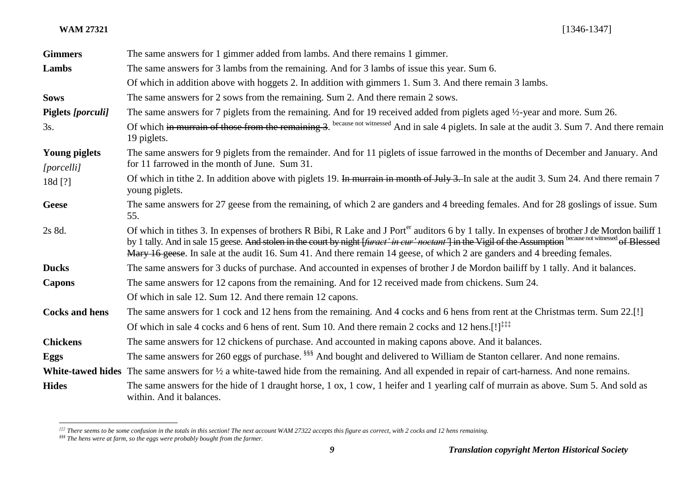l

**WAM 27321** [1346-1347]

| <b>Gimmers</b>                     | The same answers for 1 gimmer added from lambs. And there remains 1 gimmer.                                                                                                                                                                                                                                                                                                                                                                             |
|------------------------------------|---------------------------------------------------------------------------------------------------------------------------------------------------------------------------------------------------------------------------------------------------------------------------------------------------------------------------------------------------------------------------------------------------------------------------------------------------------|
| Lambs                              | The same answers for 3 lambs from the remaining. And for 3 lambs of issue this year. Sum 6.                                                                                                                                                                                                                                                                                                                                                             |
|                                    | Of which in addition above with hoggets 2. In addition with gimmers 1. Sum 3. And there remain 3 lambs.                                                                                                                                                                                                                                                                                                                                                 |
| <b>Sows</b>                        | The same answers for 2 sows from the remaining. Sum 2. And there remain 2 sows.                                                                                                                                                                                                                                                                                                                                                                         |
| <b>Piglets</b> [porculi]           | The same answers for 7 piglets from the remaining. And for 19 received added from piglets aged 1/2-year and more. Sum 26.                                                                                                                                                                                                                                                                                                                               |
| 3s.                                | Of which in murrain of those from the remaining 3. because not witnessed And in sale 4 piglets. In sale at the audit 3. Sum 7. And there remain<br>19 piglets.                                                                                                                                                                                                                                                                                          |
| <b>Young piglets</b><br>[porcelli] | The same answers for 9 piglets from the remainder. And for 11 piglets of issue farrowed in the months of December and January. And<br>for 11 farrowed in the month of June. Sum 31.                                                                                                                                                                                                                                                                     |
| 18d [?]                            | Of which in tithe 2. In addition above with piglets 19. In murrain in month of July 3. In sale at the audit 3. Sum 24. And there remain 7<br>young piglets.                                                                                                                                                                                                                                                                                             |
| <b>Geese</b>                       | The same answers for 27 geese from the remaining, of which 2 are ganders and 4 breeding females. And for 28 goslings of issue. Sum<br>55.                                                                                                                                                                                                                                                                                                               |
| 2s 8d.                             | Of which in tithes 3. In expenses of brothers R Bibi, R Lake and J Port <sup>er</sup> auditors 6 by 1 tally. In expenses of brother J de Mordon bailiff 1<br>by 1 tally. And in sale 15 geese. And stolen in the court by night [furact' in cur' noctant'] in the Vigil of the Assumption because not witnessed of Blessed<br>Mary 16 geese. In sale at the audit 16. Sum 41. And there remain 14 geese, of which 2 are ganders and 4 breeding females. |
| <b>Ducks</b>                       | The same answers for 3 ducks of purchase. And accounted in expenses of brother J de Mordon bailiff by 1 tally. And it balances.                                                                                                                                                                                                                                                                                                                         |
| <b>Capons</b>                      | The same answers for 12 capons from the remaining. And for 12 received made from chickens. Sum 24.                                                                                                                                                                                                                                                                                                                                                      |
|                                    | Of which in sale 12. Sum 12. And there remain 12 capons.                                                                                                                                                                                                                                                                                                                                                                                                |
| <b>Cocks and hens</b>              | The same answers for 1 cock and 12 hens from the remaining. And 4 cocks and 6 hens from rent at the Christmas term. Sum 22.[!]                                                                                                                                                                                                                                                                                                                          |
|                                    | Of which in sale 4 cocks and 6 hens of rent. Sum 10. And there remain 2 cocks and 12 hens.[!] <sup>‡‡‡†</sup>                                                                                                                                                                                                                                                                                                                                           |
| <b>Chickens</b>                    | The same answers for 12 chickens of purchase. And accounted in making capons above. And it balances.                                                                                                                                                                                                                                                                                                                                                    |
| <b>Eggs</b>                        | The same answers for 260 eggs of purchase. <sup>§§§</sup> And bought and delivered to William de Stanton cellarer. And none remains.                                                                                                                                                                                                                                                                                                                    |
|                                    | White-tawed hides The same answers for 1/2 a white-tawed hide from the remaining. And all expended in repair of cart-harness. And none remains.                                                                                                                                                                                                                                                                                                         |
| <b>Hides</b>                       | The same answers for the hide of 1 draught horse, 1 ox, 1 cow, 1 heifer and 1 yearling calf of murrain as above. Sum 5. And sold as<br>within. And it balances.                                                                                                                                                                                                                                                                                         |

*<sup>‡‡‡</sup> There seems to be some confusion in the totals in this section! The next account WAM 27322 accepts this figure as correct, with 2 cocks and 12 hens remaining.*

*<sup>§§§</sup> The hens were at farm, so the eggs were probably bought from the farmer.*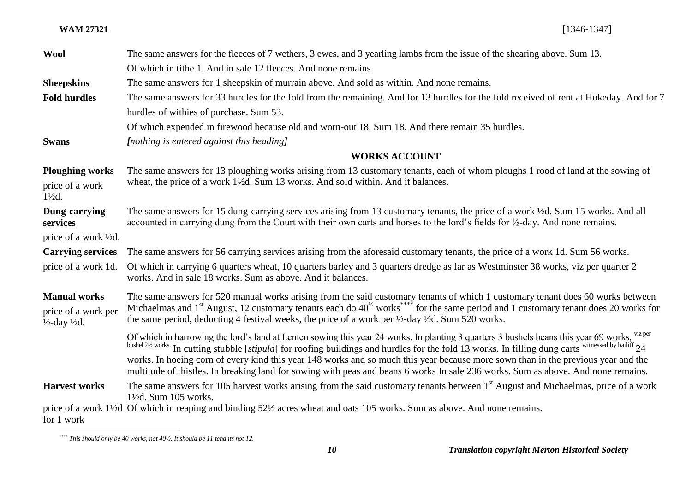| <b>Wool</b>                                                | The same answers for the fleeces of 7 wethers, 3 ewes, and 3 yearling lambs from the issue of the shearing above. Sum 13.                                                                                                                                                                               |  |
|------------------------------------------------------------|---------------------------------------------------------------------------------------------------------------------------------------------------------------------------------------------------------------------------------------------------------------------------------------------------------|--|
|                                                            | Of which in tithe 1. And in sale 12 fleeces. And none remains.                                                                                                                                                                                                                                          |  |
| <b>Sheepskins</b>                                          | The same answers for 1 sheepskin of murrain above. And sold as within. And none remains.                                                                                                                                                                                                                |  |
| <b>Fold hurdles</b>                                        | The same answers for 33 hurdles for the fold from the remaining. And for 13 hurdles for the fold received of rent at Hokeday. And for 7                                                                                                                                                                 |  |
|                                                            | hurdles of withies of purchase. Sum 53.                                                                                                                                                                                                                                                                 |  |
|                                                            | Of which expended in firewood because old and worn-out 18. Sum 18. And there remain 35 hurdles.                                                                                                                                                                                                         |  |
| <b>Swans</b>                                               | [nothing is entered against this heading]                                                                                                                                                                                                                                                               |  |
|                                                            | <b>WORKS ACCOUNT</b>                                                                                                                                                                                                                                                                                    |  |
| <b>Ploughing works</b>                                     | The same answers for 13 ploughing works arising from 13 customary tenants, each of whom ploughs 1 rood of land at the sowing of                                                                                                                                                                         |  |
| price of a work<br>$1\frac{1}{2}d$ .                       | wheat, the price of a work 1 <sup>1</sup> / <sub>2</sub> d. Sum 13 works. And sold within. And it balances.                                                                                                                                                                                             |  |
| Dung-carrying<br>services                                  | The same answers for 15 dung-carrying services arising from 13 customary tenants, the price of a work 1/2d. Sum 15 works. And all<br>accounted in carrying dung from the Court with their own carts and horses to the lord's fields for 1/2-day. And none remains.                                      |  |
| price of a work ½d.                                        |                                                                                                                                                                                                                                                                                                         |  |
| <b>Carrying services</b>                                   | The same answers for 56 carrying services arising from the aforesaid customary tenants, the price of a work 1d. Sum 56 works.                                                                                                                                                                           |  |
| price of a work 1d.                                        | Of which in carrying 6 quarters wheat, 10 quarters barley and 3 quarters dredge as far as Westminster 38 works, viz per quarter 2<br>works. And in sale 18 works. Sum as above. And it balances.                                                                                                        |  |
| <b>Manual works</b>                                        | The same answers for 520 manual works arising from the said customary tenants of which 1 customary tenant does 60 works between                                                                                                                                                                         |  |
| price of a work per<br>$\frac{1}{2}$ -day $\frac{1}{2}d$ . | Michaelmas and 1 <sup>st</sup> August, 12 customary tenants each do $40^{1/2}$ works <sup>****</sup> for the same period and 1 customary tenant does 20 works for<br>the same period, deducting 4 festival weeks, the price of a work per $\frac{1}{2}$ -day $\frac{1}{2}$ d. Sum 520 works.            |  |
|                                                            | Of which in harrowing the lord's land at Lenten sowing this year 24 works. In planting 3 quarters 3 bushels beans this year 69 works, viz per<br>bushel 21/2 works. In cutting stubble [stipula] for roofing buildings and hurdles for the fold 13 works. In filling dung carts witnessed by bailiff 24 |  |
|                                                            | works. In hoeing corn of every kind this year 148 works and so much this year because more sown than in the previous year and the<br>multitude of thistles. In breaking land for sowing with peas and beans 6 works In sale 236 works. Sum as above. And none remains.                                  |  |
| <b>Harvest works</b>                                       | The same answers for 105 harvest works arising from the said customary tenants between 1 <sup>st</sup> August and Michaelmas, price of a work<br>$1\frac{1}{2}$ d. Sum 105 works.                                                                                                                       |  |
| for 1 work                                                 | price of a work 1½ dOf which in reaping and binding 52½ acres wheat and oats 105 works. Sum as above. And none remains.                                                                                                                                                                                 |  |

*<sup>\*\*\*\*</sup> This should only be 40 works, not 40½. It should be 11 tenants not 12.*

 $\overline{a}$